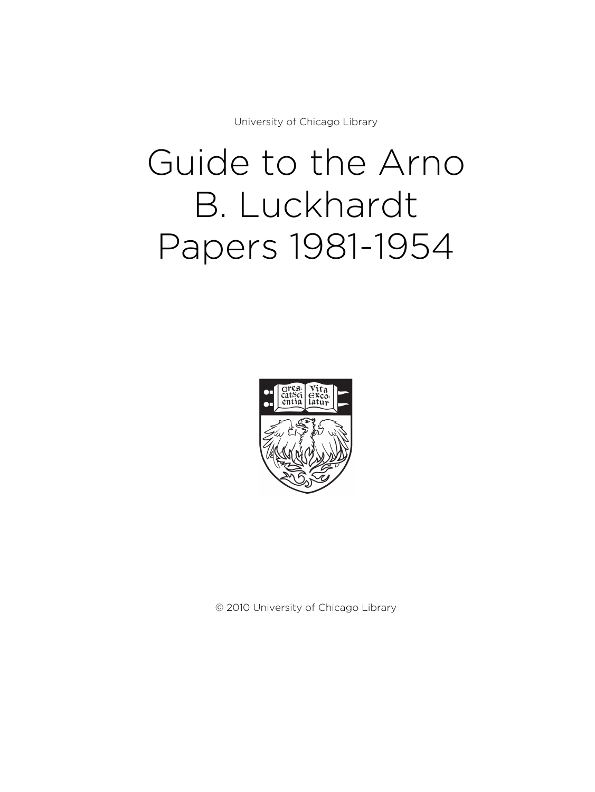University of Chicago Library

# Guide to the Arno B. Luckhardt Papers 1981-1954



© 2010 University of Chicago Library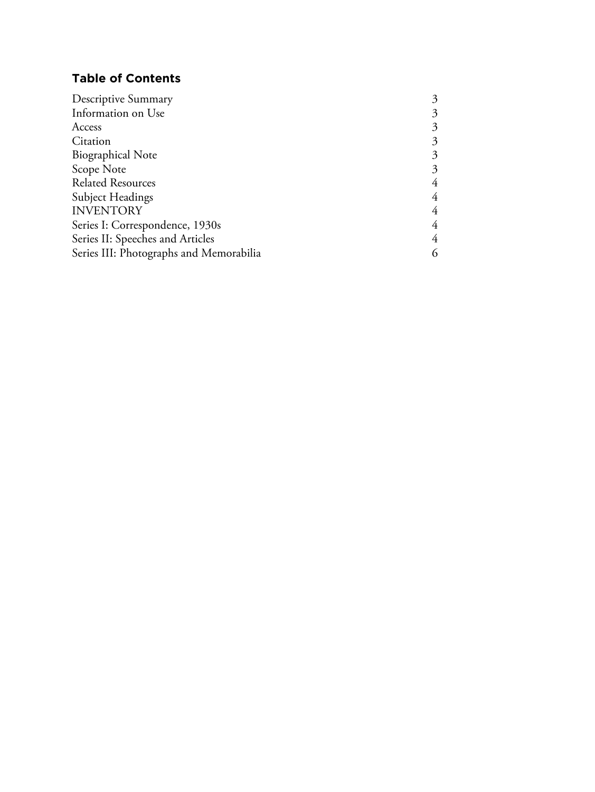# **Table of Contents**

| 4 |
|---|
|   |
| 6 |
|   |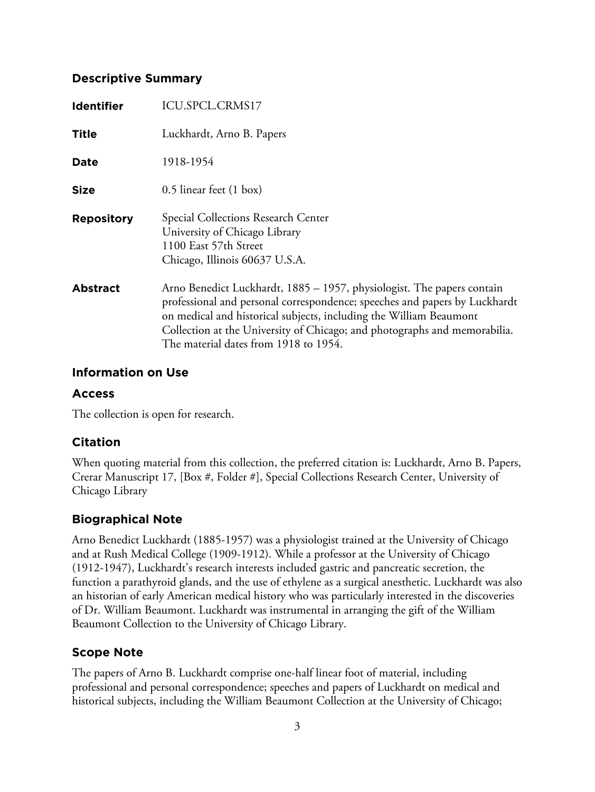#### **Descriptive Summary**

| <b>Identifier</b> | ICU.SPCL.CRMS17                                                                                                                                                                                                                                                                                                                                  |
|-------------------|--------------------------------------------------------------------------------------------------------------------------------------------------------------------------------------------------------------------------------------------------------------------------------------------------------------------------------------------------|
| <b>Title</b>      | Luckhardt, Arno B. Papers                                                                                                                                                                                                                                                                                                                        |
| <b>Date</b>       | 1918-1954                                                                                                                                                                                                                                                                                                                                        |
| <b>Size</b>       | 0.5 linear feet (1 box)                                                                                                                                                                                                                                                                                                                          |
| <b>Repository</b> | Special Collections Research Center<br>University of Chicago Library<br>1100 East 57th Street<br>Chicago, Illinois 60637 U.S.A.                                                                                                                                                                                                                  |
| <b>Abstract</b>   | Arno Benedict Luckhardt, 1885 – 1957, physiologist. The papers contain<br>professional and personal correspondence; speeches and papers by Luckhardt<br>on medical and historical subjects, including the William Beaumont<br>Collection at the University of Chicago; and photographs and memorabilia.<br>The material dates from 1918 to 1954. |

#### **Information on Use**

#### **Access**

The collection is open for research.

## **Citation**

When quoting material from this collection, the preferred citation is: Luckhardt, Arno B. Papers, Crerar Manuscript 17, [Box #, Folder #], Special Collections Research Center, University of Chicago Library

# **Biographical Note**

Arno Benedict Luckhardt (1885-1957) was a physiologist trained at the University of Chicago and at Rush Medical College (1909-1912). While a professor at the University of Chicago (1912-1947), Luckhardt's research interests included gastric and pancreatic secretion, the function a parathyroid glands, and the use of ethylene as a surgical anesthetic. Luckhardt was also an historian of early American medical history who was particularly interested in the discoveries of Dr. William Beaumont. Luckhardt was instrumental in arranging the gift of the William Beaumont Collection to the University of Chicago Library.

# **Scope Note**

The papers of Arno B. Luckhardt comprise one-half linear foot of material, including professional and personal correspondence; speeches and papers of Luckhardt on medical and historical subjects, including the William Beaumont Collection at the University of Chicago;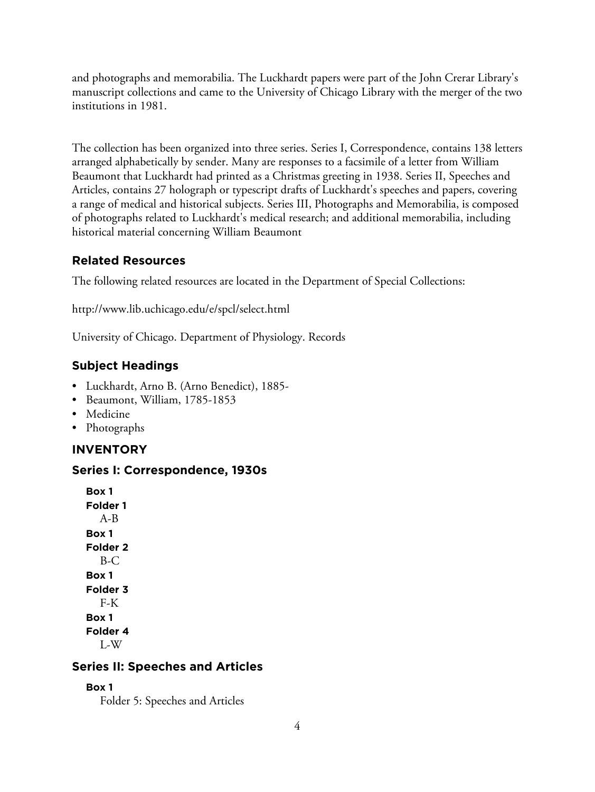and photographs and memorabilia. The Luckhardt papers were part of the John Crerar Library's manuscript collections and came to the University of Chicago Library with the merger of the two institutions in 1981.

The collection has been organized into three series. Series I, Correspondence, contains 138 letters arranged alphabetically by sender. Many are responses to a facsimile of a letter from William Beaumont that Luckhardt had printed as a Christmas greeting in 1938. Series II, Speeches and Articles, contains 27 holograph or typescript drafts of Luckhardt's speeches and papers, covering a range of medical and historical subjects. Series III, Photographs and Memorabilia, is composed of photographs related to Luckhardt's medical research; and additional memorabilia, including historical material concerning William Beaumont

#### **Related Resources**

The following related resources are located in the Department of Special Collections:

http://www.lib.uchicago.edu/e/spcl/select.html

University of Chicago. Department of Physiology. Records

## **Subject Headings**

- Luckhardt, Arno B. (Arno Benedict), 1885-
- Beaumont, William, 1785-1853
- Medicine
- Photographs

## **INVENTORY**

#### **Series I: Correspondence, 1930s**

**Box 1 Folder 1** A-B **Box 1 Folder 2** B-C **Box 1 Folder 3** F-K **Box 1 Folder 4** L-W

#### **Series II: Speeches and Articles**

```
Box 1
```
Folder 5: Speeches and Articles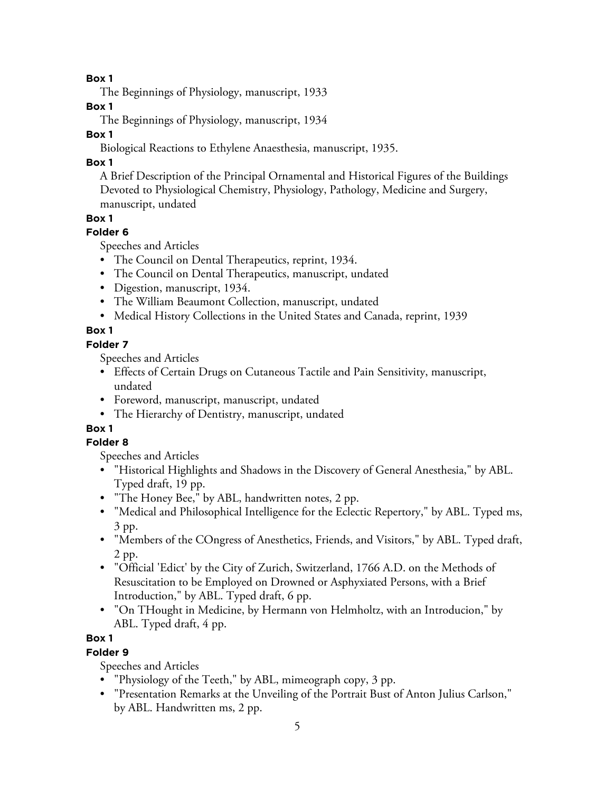**Box 1**

The Beginnings of Physiology, manuscript, 1933

**Box 1**

The Beginnings of Physiology, manuscript, 1934

#### **Box 1**

Biological Reactions to Ethylene Anaesthesia, manuscript, 1935.

### **Box 1**

A Brief Description of the Principal Ornamental and Historical Figures of the Buildings Devoted to Physiological Chemistry, Physiology, Pathology, Medicine and Surgery, manuscript, undated

#### **Box 1**

#### **Folder 6**

Speeches and Articles

- The Council on Dental Therapeutics, reprint, 1934.
- The Council on Dental Therapeutics, manuscript, undated
- Digestion, manuscript, 1934.
- The William Beaumont Collection, manuscript, undated
- Medical History Collections in the United States and Canada, reprint, 1939

## **Box 1**

#### **Folder 7**

Speeches and Articles

- Effects of Certain Drugs on Cutaneous Tactile and Pain Sensitivity, manuscript, undated
- Foreword, manuscript, manuscript, undated
- The Hierarchy of Dentistry, manuscript, undated

# **Box 1**

#### **Folder 8**

Speeches and Articles

- "Historical Highlights and Shadows in the Discovery of General Anesthesia," by ABL. Typed draft, 19 pp.
- "The Honey Bee," by ABL, handwritten notes, 2 pp.
- "Medical and Philosophical Intelligence for the Eclectic Repertory," by ABL. Typed ms, 3 pp.
- "Members of the COngress of Anesthetics, Friends, and Visitors," by ABL. Typed draft, 2 pp.
- "Official 'Edict' by the City of Zurich, Switzerland, 1766 A.D. on the Methods of Resuscitation to be Employed on Drowned or Asphyxiated Persons, with a Brief Introduction," by ABL. Typed draft, 6 pp.
- "On THought in Medicine, by Hermann von Helmholtz, with an Introducion," by ABL. Typed draft, 4 pp.

## **Box 1**

## **Folder 9**

Speeches and Articles

- "Physiology of the Teeth," by ABL, mimeograph copy, 3 pp.
- "Presentation Remarks at the Unveiling of the Portrait Bust of Anton Julius Carlson," by ABL. Handwritten ms, 2 pp.